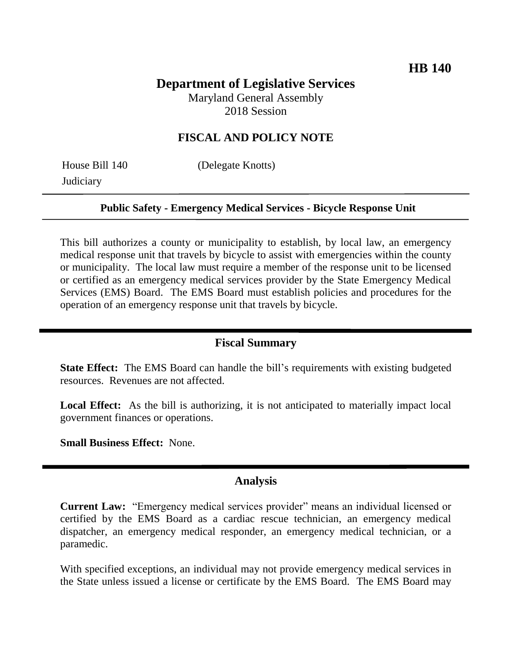## **Department of Legislative Services** Maryland General Assembly

2018 Session

## **FISCAL AND POLICY NOTE**

**Judiciary** 

House Bill 140 (Delegate Knotts)

#### **Public Safety - Emergency Medical Services - Bicycle Response Unit**

This bill authorizes a county or municipality to establish, by local law, an emergency medical response unit that travels by bicycle to assist with emergencies within the county or municipality. The local law must require a member of the response unit to be licensed or certified as an emergency medical services provider by the State Emergency Medical Services (EMS) Board. The EMS Board must establish policies and procedures for the operation of an emergency response unit that travels by bicycle.

#### **Fiscal Summary**

**State Effect:** The EMS Board can handle the bill's requirements with existing budgeted resources. Revenues are not affected.

Local Effect: As the bill is authorizing, it is not anticipated to materially impact local government finances or operations.

**Small Business Effect:** None.

### **Analysis**

**Current Law:** "Emergency medical services provider" means an individual licensed or certified by the EMS Board as a cardiac rescue technician, an emergency medical dispatcher, an emergency medical responder, an emergency medical technician, or a paramedic.

With specified exceptions, an individual may not provide emergency medical services in the State unless issued a license or certificate by the EMS Board. The EMS Board may